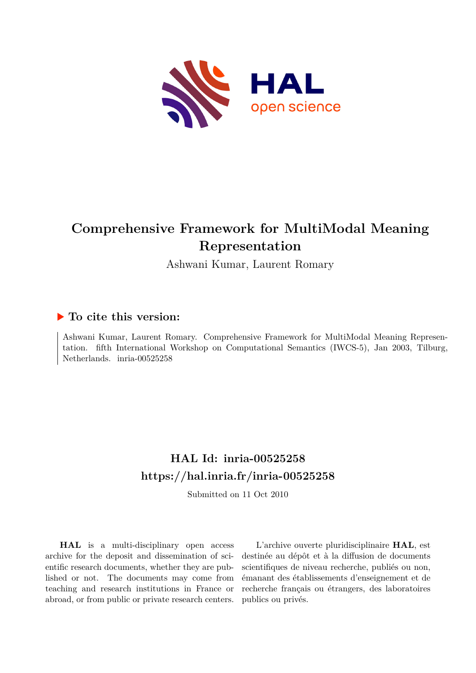

# **Comprehensive Framework for MultiModal Meaning Representation**

Ashwani Kumar, Laurent Romary

# **To cite this version:**

Ashwani Kumar, Laurent Romary. Comprehensive Framework for MultiModal Meaning Representation. fifth International Workshop on Computational Semantics (IWCS-5), Jan 2003, Tilburg, Netherlands. inria-00525258

# **HAL Id: inria-00525258 <https://hal.inria.fr/inria-00525258>**

Submitted on 11 Oct 2010

**HAL** is a multi-disciplinary open access archive for the deposit and dissemination of scientific research documents, whether they are published or not. The documents may come from teaching and research institutions in France or abroad, or from public or private research centers.

L'archive ouverte pluridisciplinaire **HAL**, est destinée au dépôt et à la diffusion de documents scientifiques de niveau recherche, publiés ou non, émanant des établissements d'enseignement et de recherche français ou étrangers, des laboratoires publics ou privés.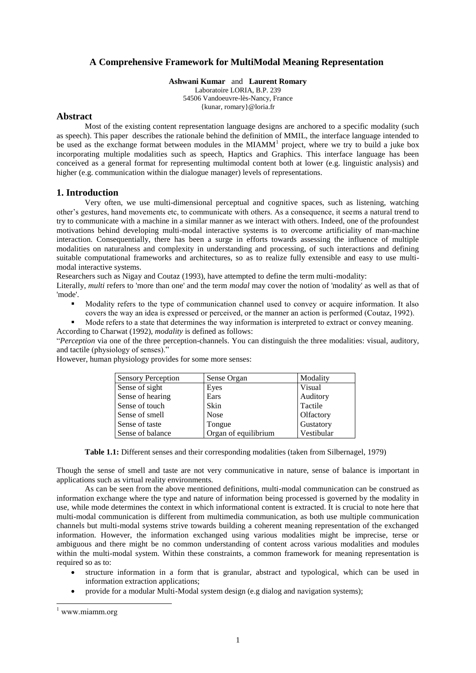# **A Comprehensive Framework for MultiModal Meaning Representation**

**Ashwani Kumar** and **Laurent Romary**

Laboratoire LORIA, B.P. 239 54506 Vandoeuvre-lès-Nancy, France {kunar, romary}@loria.fr

# **Abstract**

Most of the existing content representation language designs are anchored to a specific modality (such as speech). This paper describes the rationale behind the definition of MMIL, the interface language intended to be used as the exchange format between modules in the MIAMM<sup>1</sup> project, where we try to build a juke box incorporating multiple modalities such as speech, Haptics and Graphics. This interface language has been conceived as a general format for representing multimodal content both at lower (e.g. linguistic analysis) and higher (e.g. communication within the dialogue manager) levels of representations.

# **1. Introduction**

Very often, we use multi-dimensional perceptual and cognitive spaces, such as listening, watching other"s gestures, hand movements etc, to communicate with others. As a consequence, it seems a natural trend to try to communicate with a machine in a similar manner as we interact with others. Indeed, one of the profoundest motivations behind developing multi-modal interactive systems is to overcome artificiality of man-machine interaction. Consequentially, there has been a surge in efforts towards assessing the influence of multiple modalities on naturalness and complexity in understanding and processing, of such interactions and defining suitable computational frameworks and architectures, so as to realize fully extensible and easy to use multimodal interactive systems.

Researchers such as Nigay and Coutaz (1993), have attempted to define the term multi-modality:

Literally, *multi* refers to 'more than one' and the term *modal* may cover the notion of 'modality' as well as that of 'mode'.

 Modality refers to the type of communication channel used to convey or acquire information. It also covers the way an idea is expressed or perceived, or the manner an action is performed (Coutaz, 1992).

Mode refers to a state that determines the way information is interpreted to extract or convey meaning.

According to Charwat (1992), *modality* is defined as follows:

"*Perception* via one of the three perception-channels. You can distinguish the three modalities: visual, auditory, and tactile (physiology of senses)."

| <b>Sensory Perception</b> | Sense Organ          | Modality   |
|---------------------------|----------------------|------------|
| Sense of sight            | Eyes                 | Visual     |
| Sense of hearing          | Ears                 | Auditory   |
| Sense of touch            | Skin                 | Tactile    |
| Sense of smell            | <b>Nose</b>          | Olfactory  |
| Sense of taste            | Tongue               | Gustatory  |
| Sense of balance          | Organ of equilibrium | Vestibular |

However, human physiology provides for some more senses:

**Table 1.1:** Different senses and their corresponding modalities (taken from Silbernagel, 1979)

Though the sense of smell and taste are not very communicative in nature, sense of balance is important in applications such as virtual reality environments.

As can be seen from the above mentioned definitions, multi-modal communication can be construed as information exchange where the type and nature of information being processed is governed by the modality in use, while mode determines the context in which informational content is extracted. It is crucial to note here that multi-modal communication is different from multimedia communication, as both use multiple communication channels but multi-modal systems strive towards building a coherent meaning representation of the exchanged information. However, the information exchanged using various modalities might be imprecise, terse or ambiguous and there might be no common understanding of content across various modalities and modules within the multi-modal system. Within these constraints, a common framework for meaning representation is required so as to:

- structure information in a form that is granular, abstract and typological, which can be used in information extraction applications;
- provide for a modular Multi-Modal system design (e.g dialog and navigation systems);

-

<sup>1</sup> www.miamm.org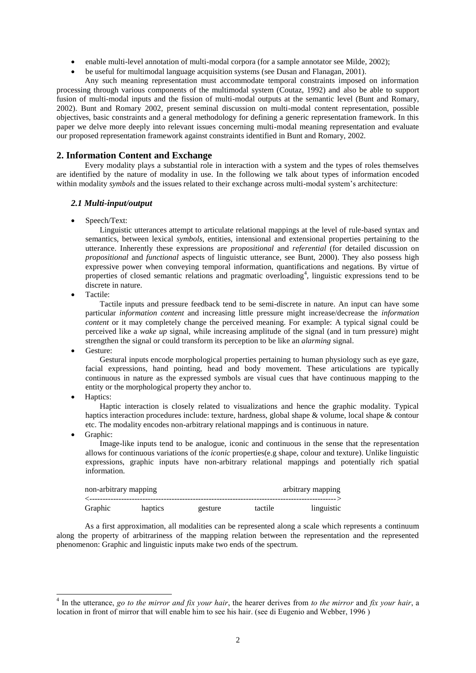- enable multi-level annotation of multi-modal corpora (for a sample annotator see Milde, 2002);
- be useful for multimodal language acquisition systems (see Dusan and Flanagan, 2001).

Any such meaning representation must accommodate temporal constraints imposed on information processing through various components of the multimodal system (Coutaz, 1992) and also be able to support fusion of multi-modal inputs and the fission of multi-modal outputs at the semantic level (Bunt and Romary, 2002). Bunt and Romary 2002, present seminal discussion on multi-modal content representation, possible objectives, basic constraints and a general methodology for defining a generic representation framework. In this paper we delve more deeply into relevant issues concerning multi-modal meaning representation and evaluate our proposed representation framework against constraints identified in Bunt and Romary, 2002.

# **2. Information Content and Exchange**

Every modality plays a substantial role in interaction with a system and the types of roles themselves are identified by the nature of modality in use. In the following we talk about types of information encoded within modality *symbols* and the issues related to their exchange across multi-modal system's architecture:

# *2.1 Multi-input/output*

Speech/Text:

Linguistic utterances attempt to articulate relational mappings at the level of rule-based syntax and semantics, between lexical *symbols*, entities, intensional and extensional properties pertaining to the utterance. Inherently these expressions are *propositional* and *referential* (for detailed discussion on *propositional* and *functional* aspects of linguistic utterance, see Bunt, 2000). They also possess high expressive power when conveying temporal information, quantifications and negations. By virtue of properties of closed semantic relations and pragmatic overloading<sup>4</sup>, linguistic expressions tend to be discrete in nature.

Tactile:

Tactile inputs and pressure feedback tend to be semi-discrete in nature. An input can have some particular *information content* and increasing little pressure might increase/decrease the *information content* or it may completely change the perceived meaning. For example: A typical signal could be perceived like a *wake up* signal, while increasing amplitude of the signal (and in turn pressure) might strengthen the signal or could transform its perception to be like an *alarming* signal.

Gesture:

Gestural inputs encode morphological properties pertaining to human physiology such as eye gaze, facial expressions, hand pointing, head and body movement. These articulations are typically continuous in nature as the expressed symbols are visual cues that have continuous mapping to the entity or the morphological property they anchor to.

Haptics:

Haptic interaction is closely related to visualizations and hence the graphic modality. Typical haptics interaction procedures include: texture, hardness, global shape & volume, local shape & contour etc. The modality encodes non-arbitrary relational mappings and is continuous in nature.

Graphic:

-

Image-like inputs tend to be analogue, iconic and continuous in the sense that the representation allows for continuous variations of the *iconic* properties(e.g shape, colour and texture). Unlike linguistic expressions, graphic inputs have non-arbitrary relational mappings and potentially rich spatial information.

| non-arbitrary mapping |         |         |         | arbitrary mapping<br>--------------------- |
|-----------------------|---------|---------|---------|--------------------------------------------|
| Graphic               | haptics | gesture | tactile | linguistic                                 |

As a first approximation, all modalities can be represented along a scale which represents a continuum along the property of arbitrariness of the mapping relation between the representation and the represented phenomenon: Graphic and linguistic inputs make two ends of the spectrum.

<sup>4</sup> In the utterance, *go to the mirror and fix your hair*, the hearer derives from *to the mirror* and *fix your hair*, a location in front of mirror that will enable him to see his hair. (see di Eugenio and Webber, 1996 )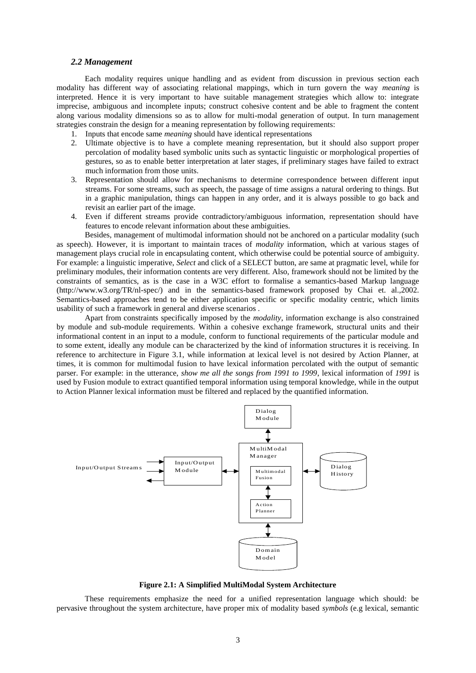#### *2.2 Management*

Each modality requires unique handling and as evident from discussion in previous section each modality has different way of associating relational mappings, which in turn govern the way *meaning* is interpreted. Hence it is very important to have suitable management strategies which allow to: integrate imprecise, ambiguous and incomplete inputs; construct cohesive content and be able to fragment the content along various modality dimensions so as to allow for multi-modal generation of output. In turn management strategies constrain the design for a meaning representation by following requirements:

- 1. Inputs that encode same *meaning* should have identical representations
- 2. Ultimate objective is to have a complete meaning representation, but it should also support proper percolation of modality based symbolic units such as syntactic linguistic or morphological properties of gestures, so as to enable better interpretation at later stages, if preliminary stages have failed to extract much information from those units.
- 3. Representation should allow for mechanisms to determine correspondence between different input streams. For some streams, such as speech, the passage of time assigns a natural ordering to things. But in a graphic manipulation, things can happen in any order, and it is always possible to go back and revisit an earlier part of the image.
- 4. Even if different streams provide contradictory/ambiguous information, representation should have features to encode relevant information about these ambiguities.

Besides, management of multimodal information should not be anchored on a particular modality (such as speech). However, it is important to maintain traces of *modality* information, which at various stages of management plays crucial role in encapsulating content, which otherwise could be potential source of ambiguity. For example: a linguistic imperative, *Select* and click of a SELECT button, are same at pragmatic level, while for preliminary modules, their information contents are very different. Also, framework should not be limited by the constraints of semantics, as is the case in a W3C effort to formalise a semantics-based Markup language (http://www.w3.org/TR/nl-spec/) and in the semantics-based framework proposed by Chai et. al.,2002. Semantics-based approaches tend to be either application specific or specific modality centric, which limits usability of such a framework in general and diverse scenarios .

Apart from constraints specifically imposed by the *modality*, information exchange is also constrained by module and sub-module requirements. Within a cohesive exchange framework, structural units and their informational content in an input to a module, conform to functional requirements of the particular module and to some extent, ideally any module can be characterized by the kind of information structures it is receiving. In reference to architecture in Figure 3.1, while information at lexical level is not desired by Action Planner, at times, it is common for multimodal fusion to have lexical information percolated with the output of semantic parser. For example: in the utterance, *show me all the songs from 1991 to 1999*, lexical information of *1991* is used by Fusion module to extract quantified temporal information using temporal knowledge, while in the output to Action Planner lexical information must be filtered and replaced by the quantified information.



**Figure 2.1: A Simplified MultiModal System Architecture**

These requirements emphasize the need for a unified representation language which should: be pervasive throughout the system architecture, have proper mix of modality based *symbols* (e.g lexical, semantic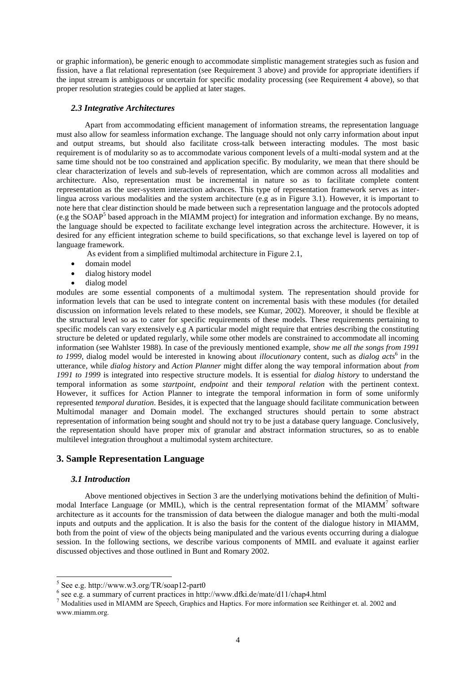or graphic information), be generic enough to accommodate simplistic management strategies such as fusion and fission, have a flat relational representation (see Requirement 3 above) and provide for appropriate identifiers if the input stream is ambiguous or uncertain for specific modality processing (see Requirement 4 above), so that proper resolution strategies could be applied at later stages.

### *2.3 Integrative Architectures*

Apart from accommodating efficient management of information streams, the representation language must also allow for seamless information exchange. The language should not only carry information about input and output streams, but should also facilitate cross-talk between interacting modules. The most basic requirement is of modularity so as to accommodate various component levels of a multi-modal system and at the same time should not be too constrained and application specific. By modularity, we mean that there should be clear characterization of levels and sub-levels of representation, which are common across all modalities and architecture. Also, representation must be incremental in nature so as to facilitate complete content representation as the user-system interaction advances. This type of representation framework serves as interlingua across various modalities and the system architecture (e.g as in Figure 3.1). However, it is important to note here that clear distinction should be made between such a representation language and the protocols adopted (e.g the SOAP<sup>5</sup> based approach in the MIAMM project) for integration and information exchange. By no means, the language should be expected to facilitate exchange level integration across the architecture. However, it is desired for any efficient integration scheme to build specifications, so that exchange level is layered on top of language framework.

As evident from a simplified multimodal architecture in Figure 2.1,

- domain model
- dialog history model
- dialog model

modules are some essential components of a multimodal system. The representation should provide for information levels that can be used to integrate content on incremental basis with these modules (for detailed discussion on information levels related to these models, see Kumar, 2002). Moreover, it should be flexible at the structural level so as to cater for specific requirements of these models. These requirements pertaining to specific models can vary extensively e.g A particular model might require that entries describing the constituting structure be deleted or updated regularly, while some other models are constrained to accommodate all incoming information (see Wahlster 1988). In case of the previously mentioned example, *show me all the songs from 1991*  to 1999, dialog model would be interested in knowing about *illocutionary* content, such as *dialog acts*<sup>6</sup> in the utterance, while *dialog history* and *Action Planner* might differ along the way temporal information about *from 1991 to 1999* is integrated into respective structure models. It is essential for *dialog history* to understand the temporal information as some *startpoint*, *endpoint* and their *temporal relation* with the pertinent context. However, it suffices for Action Planner to integrate the temporal information in form of some uniformly represented *temporal duration*. Besides, it is expected that the language should facilitate communication between Multimodal manager and Domain model. The exchanged structures should pertain to some abstract representation of information being sought and should not try to be just a database query language. Conclusively, the representation should have proper mix of granular and abstract information structures, so as to enable multilevel integration throughout a multimodal system architecture.

# **3. Sample Representation Language**

#### *3.1 Introduction*

-

Above mentioned objectives in Section 3 are the underlying motivations behind the definition of Multimodal Interface Language (or MMIL), which is the central representation format of the MIAMM<sup>7</sup> software architecture as it accounts for the transmission of data between the dialogue manager and both the multi-modal inputs and outputs and the application. It is also the basis for the content of the dialogue history in MIAMM, both from the point of view of the objects being manipulated and the various events occurring during a dialogue session. In the following sections, we describe various components of MMIL and evaluate it against earlier discussed objectives and those outlined in Bunt and Romary 2002.

<sup>5</sup> See e.g. http://www.w3.org/TR/soap12-part0

<sup>6</sup> see e.g. a summary of current practices in http://www.dfki.de/mate/d11/chap4.html

<sup>7</sup> Modalities used in MIAMM are Speech, Graphics and Haptics. For more information see Reithinger et. al. 2002 and www.miamm.org.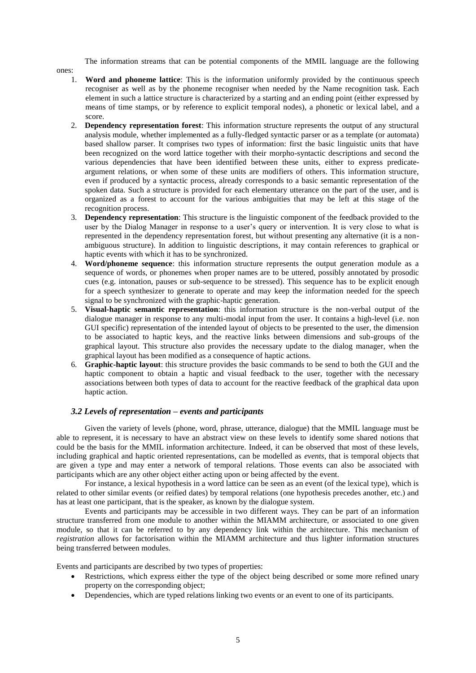The information streams that can be potential components of the MMIL language are the following

- ones:
	- 1. **Word and phoneme lattice**: This is the information uniformly provided by the continuous speech recogniser as well as by the phoneme recogniser when needed by the Name recognition task. Each element in such a lattice structure is characterized by a starting and an ending point (either expressed by means of time stamps, or by reference to explicit temporal nodes), a phonetic or lexical label, and a score.
	- 2. **Dependency representation forest**: This information structure represents the output of any structural analysis module, whether implemented as a fully-fledged syntactic parser or as a template (or automata) based shallow parser. It comprises two types of information: first the basic linguistic units that have been recognized on the word lattice together with their morpho-syntactic descriptions and second the various dependencies that have been identified between these units, either to express predicateargument relations, or when some of these units are modifiers of others. This information structure, even if produced by a syntactic process, already corresponds to a basic semantic representation of the spoken data. Such a structure is provided for each elementary utterance on the part of the user, and is organized as a forest to account for the various ambiguities that may be left at this stage of the recognition process.
	- 3. **Dependency representation**: This structure is the linguistic component of the feedback provided to the user by the Dialog Manager in response to a user"s query or intervention. It is very close to what is represented in the dependency representation forest, but without presenting any alternative (it is a nonambiguous structure). In addition to linguistic descriptions, it may contain references to graphical or haptic events with which it has to be synchronized.
	- 4. **Word/phoneme sequence**: this information structure represents the output generation module as a sequence of words, or phonemes when proper names are to be uttered, possibly annotated by prosodic cues (e.g. intonation, pauses or sub-sequence to be stressed). This sequence has to be explicit enough for a speech synthesizer to generate to operate and may keep the information needed for the speech signal to be synchronized with the graphic-haptic generation.
	- 5. **Visual-haptic semantic representation**: this information structure is the non-verbal output of the dialogue manager in response to any multi-modal input from the user. It contains a high-level (i.e. non GUI specific) representation of the intended layout of objects to be presented to the user, the dimension to be associated to haptic keys, and the reactive links between dimensions and sub-groups of the graphical layout. This structure also provides the necessary update to the dialog manager, when the graphical layout has been modified as a consequence of haptic actions.
	- 6. **Graphic-haptic layout**: this structure provides the basic commands to be send to both the GUI and the haptic component to obtain a haptic and visual feedback to the user, together with the necessary associations between both types of data to account for the reactive feedback of the graphical data upon haptic action.

# *3.2 Levels of representation – events and participants*

Given the variety of levels (phone, word, phrase, utterance, dialogue) that the MMIL language must be able to represent, it is necessary to have an abstract view on these levels to identify some shared notions that could be the basis for the MMIL information architecture. Indeed, it can be observed that most of these levels, including graphical and haptic oriented representations, can be modelled as *events*, that is temporal objects that are given a type and may enter a network of temporal relations. Those events can also be associated with participants which are any other object either acting upon or being affected by the event.

For instance, a lexical hypothesis in a word lattice can be seen as an event (of the lexical type), which is related to other similar events (or reified dates) by temporal relations (one hypothesis precedes another, etc.) and has at least one participant, that is the speaker, as known by the dialogue system.

Events and participants may be accessible in two different ways. They can be part of an information structure transferred from one module to another within the MIAMM architecture, or associated to one given module, so that it can be referred to by any dependency link within the architecture. This mechanism of *registration* allows for factorisation within the MIAMM architecture and thus lighter information structures being transferred between modules.

Events and participants are described by two types of properties:

- Restrictions, which express either the type of the object being described or some more refined unary property on the corresponding object;
- Dependencies, which are typed relations linking two events or an event to one of its participants.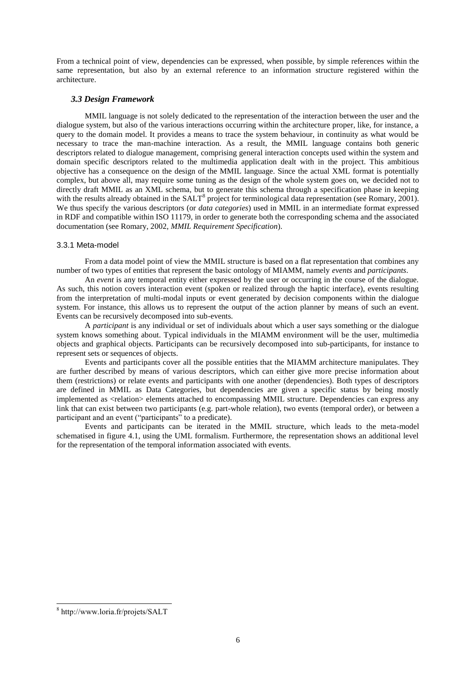From a technical point of view, dependencies can be expressed, when possible, by simple references within the same representation, but also by an external reference to an information structure registered within the architecture.

### *3.3 Design Framework*

MMIL language is not solely dedicated to the representation of the interaction between the user and the dialogue system, but also of the various interactions occurring within the architecture proper, like, for instance, a query to the domain model. It provides a means to trace the system behaviour, in continuity as what would be necessary to trace the man-machine interaction. As a result, the MMIL language contains both generic descriptors related to dialogue management, comprising general interaction concepts used within the system and domain specific descriptors related to the multimedia application dealt with in the project. This ambitious objective has a consequence on the design of the MMIL language. Since the actual XML format is potentially complex, but above all, may require some tuning as the design of the whole system goes on, we decided not to directly draft MMIL as an XML schema, but to generate this schema through a specification phase in keeping with the results already obtained in the SALT<sup>8</sup> project for terminological data representation (see Romary, 2001). We thus specify the various descriptors (or *data categories*) used in MMIL in an intermediate format expressed in RDF and compatible within ISO 11179, in order to generate both the corresponding schema and the associated documentation (see Romary, 2002, *MMIL Requirement Specification*).

#### 3.3.1 Meta-model

From a data model point of view the MMIL structure is based on a flat representation that combines any number of two types of entities that represent the basic ontology of MIAMM, namely *events* and *participants*.

An *event* is any temporal entity either expressed by the user or occurring in the course of the dialogue. As such, this notion covers interaction event (spoken or realized through the haptic interface), events resulting from the interpretation of multi-modal inputs or event generated by decision components within the dialogue system. For instance, this allows us to represent the output of the action planner by means of such an event. Events can be recursively decomposed into sub-events.

A *participant* is any individual or set of individuals about which a user says something or the dialogue system knows something about. Typical individuals in the MIAMM environment will be the user, multimedia objects and graphical objects. Participants can be recursively decomposed into sub-participants, for instance to represent sets or sequences of objects.

Events and participants cover all the possible entities that the MIAMM architecture manipulates. They are further described by means of various descriptors, which can either give more precise information about them (restrictions) or relate events and participants with one another (dependencies). Both types of descriptors are defined in MMIL as Data Categories, but dependencies are given a specific status by being mostly implemented as <relation> elements attached to encompassing MMIL structure. Dependencies can express any link that can exist between two participants (e.g. part-whole relation), two events (temporal order), or between a participant and an event ("participants" to a predicate).

Events and participants can be iterated in the MMIL structure, which leads to the meta-model schematised in figure 4.1, using the UML formalism. Furthermore, the representation shows an additional level for the representation of the temporal information associated with events.

-

<sup>8</sup> http://www.loria.fr/projets/SALT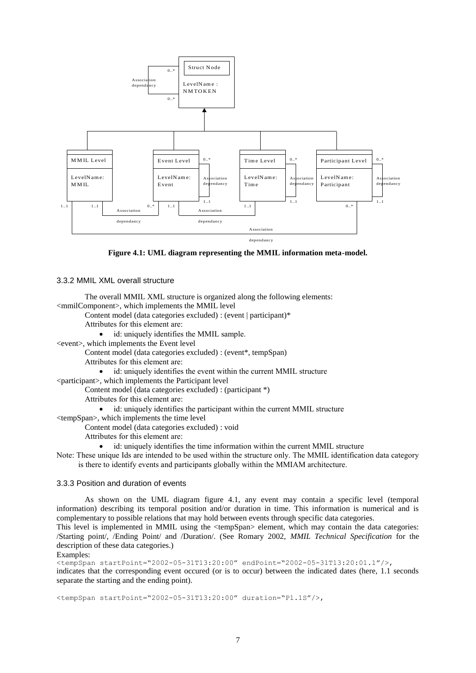

**Figure 4.1: UML diagram representing the MMIL information meta-model.**

#### 3.3.2 MMIL XML overall structure

The overall MMIL XML structure is organized along the following elements:

<mmilComponent>, which implements the MMIL level

- Content model (data categories excluded) : (event | participant)\*
	- Attributes for this element are:

id: uniquely identifies the MMIL sample.

- <event>, which implements the Event level
	- Content model (data categories excluded) : (event\*, tempSpan)
	- Attributes for this element are:
		- id: uniquely identifies the event within the current MMIL structure

<participant>, which implements the Participant level

Content model (data categories excluded) : (participant \*)

Attributes for this element are:

- id: uniquely identifies the participant within the current MMIL structure
- <tempSpan>, which implements the time level

Content model (data categories excluded) : void

- Attributes for this element are:
	- id: uniquely identifies the time information within the current MMIL structure
- Note: These unique Ids are intended to be used within the structure only. The MMIL identification data category is there to identify events and participants globally within the MMIAM architecture.

#### 3.3.3 Position and duration of events

As shown on the UML diagram figure 4.1, any event may contain a specific level (temporal information) describing its temporal position and/or duration in time. This information is numerical and is complementary to possible relations that may hold between events through specific data categories.

This level is implemented in MMIL using the <tempSpan> element, which may contain the data categories: /Starting point/, /Ending Point/ and /Duration/. (See Romary 2002, *MMIL Technical Specification* for the description of these data categories.)

#### Examples:

<tempSpan startPoint="2002-05-31T13:20:00" endPoint="2002-05-31T13:20:01.1"/>, indicates that the corresponding event occured (or is to occur) between the indicated dates (here, 1.1 seconds separate the starting and the ending point).

<tempSpan startPoint="2002-05-31T13:20:00" duration="P1.1S"/>,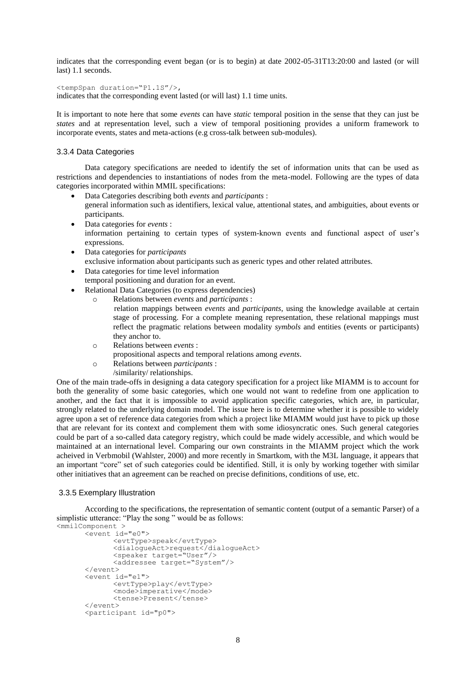indicates that the corresponding event began (or is to begin) at date 2002-05-31T13:20:00 and lasted (or will last) 1.1 seconds.

<tempSpan duration="P1.1S"/>,

indicates that the corresponding event lasted (or will last) 1.1 time units.

It is important to note here that some *events* can have *static* temporal position in the sense that they can just be *states* and at representation level, such a view of temporal positioning provides a uniform framework to incorporate events, states and meta-actions (e.g cross-talk between sub-modules).

#### 3.3.4 Data Categories

Data category specifications are needed to identify the set of information units that can be used as restrictions and dependencies to instantiations of nodes from the meta-model. Following are the types of data categories incorporated within MMIL specifications:

- Data Categories describing both *events* and *participants* : general information such as identifiers, lexical value, attentional states, and ambiguities, about events or participants.
- Data categories for *events* : information pertaining to certain types of system-known events and functional aspect of user"s expressions.
- Data categories for *participants* exclusive information about participants such as generic types and other related attributes.
- Data categories for time level information temporal positioning and duration for an event.
- Relational Data Categories (to express dependencies)
	- o Relations between *events* and *participants* :
		- relation mappings between *events* and *participants*, using the knowledge available at certain stage of processing. For a complete meaning representation, these relational mappings must reflect the pragmatic relations between modality *symbols* and entities (events or participants) they anchor to.
		- o Relations between *events* :
		- propositional aspects and temporal relations among *events*.
		- o Relations between *participants* :
			- /similarity/ relationships.

One of the main trade-offs in designing a data category specification for a project like MIAMM is to account for both the generality of some basic categories, which one would not want to redefine from one application to another, and the fact that it is impossible to avoid application specific categories, which are, in particular, strongly related to the underlying domain model. The issue here is to determine whether it is possible to widely agree upon a set of reference data categories from which a project like MIAMM would just have to pick up those that are relevant for its context and complement them with some idiosyncratic ones. Such general categories could be part of a so-called data category registry, which could be made widely accessible, and which would be maintained at an international level. Comparing our own constraints in the MIAMM project which the work acheived in Verbmobil (Wahlster, 2000) and more recently in Smartkom, with the M3L language, it appears that an important "core" set of such categories could be identified. Still, it is only by working together with similar other initiatives that an agreement can be reached on precise definitions, conditions of use, etc.

#### 3.3.5 Exemplary Illustration

According to the specifications, the representation of semantic content (output of a semantic Parser) of a simplistic utterance: "Play the song " would be as follows:

```
<mmilComponent >
      <event id="e0">
             <evtType>speak</evtType>
             <dialogueAct>request</dialogueAct>
             <speaker target="User"/>
             <addressee target="System"/>
      </event>
      <event id="e1">
             <evtType>play</evtType>
             <mode>imperative</mode>
             <tense>Present</tense>
      </event>
      <participant id="p0">
```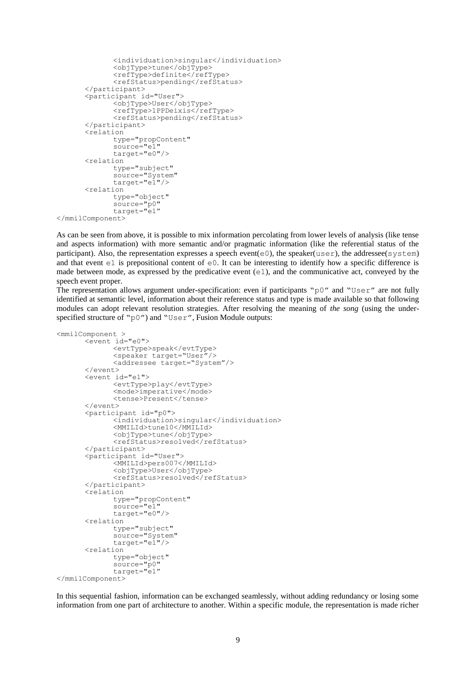```
<individuation>singular</individuation>
       <objType>tune</objType>
       <refType>definite</refType>
      <refStatus>pending</refStatus>
</participant>
<participant id="User">
      <objType>User</objType>
      <refType>1PPDeixis</refType>
      <refStatus>pending</refStatus>
</participant>
<relation
      type="propContent"
      source="e1"
      target="e0"/>
<relation
      type="subject"
      source="System"
      target="e1"/>
<relation
      type="object"
      source="p0"
      target="e1"
```

```
</mmilComponent>
```
As can be seen from above, it is possible to mix information percolating from lower levels of analysis (like tense and aspects information) with more semantic and/or pragmatic information (like the referential status of the participant). Also, the representation expresses a speech event( $e0$ ), the speaker(user), the addressee(system) and that event  $\in$  1 is prepositional content of  $\in$  0. It can be interesting to identify how a specific difference is made between mode, as expressed by the predicative event  $(e_1)$ , and the communicative act, conveyed by the speech event proper.

The representation allows argument under-specification: even if participants " $p0''$  and "User" are not fully identified at semantic level, information about their reference status and type is made available so that following modules can adopt relevant resolution strategies. After resolving the meaning of *the song* (using the underspecified structure of "p0") and "User", Fusion Module outputs:

```
<mmilComponent >
      <event id="e0">
             <evtType>speak</evtType>
             <speaker target="User"/>
             <addressee target="System"/>
      </event>
      <event id="e1">
             <evtType>play</evtType>
             <mode>imperative</mode>
             <tense>Present</tense>
      </event>
      <participant id="p0">
             <individuation>singular</individuation>
             <MMILId>tune10</MMILId>
             <objType>tune</objType>
             <refStatus>resolved</refStatus>
      </participant>
      <participant id="User">
             <MMILId>pers007</MMILId>
             <objType>User</objType>
             <refStatus>resolved</refStatus>
      </participant>
      <relation
             type="propContent"
             source="e1"
             target="e0"/>
      <relation
             type="subject"
             source="System"
             target="e1"/>
      <relation
             type="object"
             source="p0"
             target="e1"
</mmilComponent>
```
In this sequential fashion, information can be exchanged seamlessly, without adding redundancy or losing some information from one part of architecture to another. Within a specific module, the representation is made richer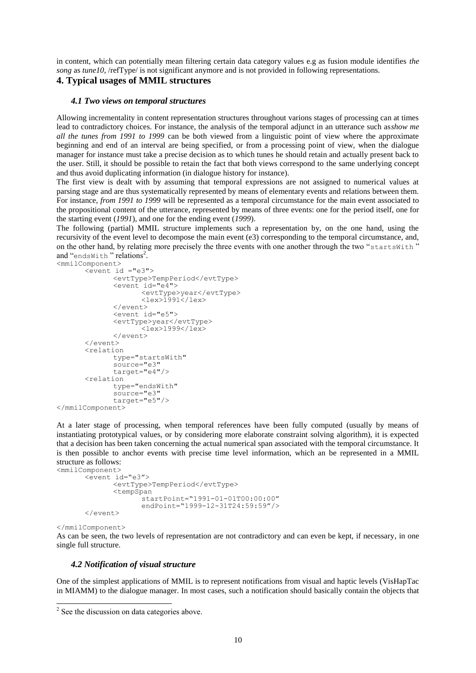in content, which can potentially mean filtering certain data category values e.g as fusion module identifies *the song* as *tune10*, /refType/ is not significant anymore and is not provided in following representations.

# **4. Typical usages of MMIL structures**

#### *4.1 Two views on temporal structures*

Allowing incrementality in content representation structures throughout varions stages of processing can at times lead to contradictory choices. For instance, the analysis of the temporal adjunct in an utterance such as*show me all the tunes from 1991 to 1999* can be both viewed from a linguistic point of view where the approximate beginning and end of an interval are being specified, or from a processing point of view, when the dialogue manager for instance must take a precise decision as to which tunes he should retain and actually present back to the user. Still, it should be possible to retain the fact that both views correspond to the same underlying concept and thus avoid duplicating information (in dialogue history for instance).

The first view is dealt with by assuming that temporal expressions are not assigned to numerical values at parsing stage and are thus systematically represented by means of elementary events and relations between them. For instance, *from 1991 to 1999* will be represented as a temporal circumstance for the main event associated to the propositional content of the utterance, represented by means of three events: one for the period itself, one for the starting event (*1991*), and one for the ending event (*1999*).

The following (partial) MMIL structure implements such a representation by, on the one hand, using the recursivity of the event level to decompose the main event (e3) corresponding to the temporal circumstance, and, on the other hand, by relating more precisely the three events with one another through the two "startsWith " and "endsWith" relations<sup>2</sup>.

```
<mmilComponent>
        <event id ="e3"> 
                <evtType>TempPeriod</evtType>
                \overline{\text{+}}\text{+} id="\overline{\text{+}}\text{+}">
                        <evtType>year</evtType>
                        \langlelex>1991\langle/lex></event>
                <event id="e5">
                <evtType>year</evtType>
                        <lex>1999</lex>
                </event>
        </event>
        <relation 
                type="startsWith"
                source="e3" 
                target="e4"/>
        <relation 
                type="endsWith"
                source="e3" 
                target="e5"/>
</mmilComponent>
```
At a later stage of processing, when temporal references have been fully computed (usually by means of instantiating prototypical values, or by considering more elaborate constraint solving algorithm), it is expected that a decision has been taken concerning the actual numerical span associated with the temporal circumstance. It is then possible to anchor events with precise time level information, which an be represented in a MMIL structure as follows:

```
<mmilComponent>
      <event id="e3">
             <evtType>TempPeriod</evtType>
             <tempSpan
                    startPoint="1991-01-01T00:00:00"
                    endPoint="1999-12-31T24:59:59"/>
      </event>
```

```
</mmilComponent>
```
As can be seen, the two levels of representation are not contradictory and can even be kept, if necessary, in one single full structure.

#### *4.2 Notification of visual structure*

One of the simplest applications of MMIL is to represent notifications from visual and haptic levels (VisHapTac in MIAMM) to the dialogue manager. In most cases, such a notification should basically contain the objects that

<sup>&</sup>lt;sup>2</sup> See the discussion on data categories above.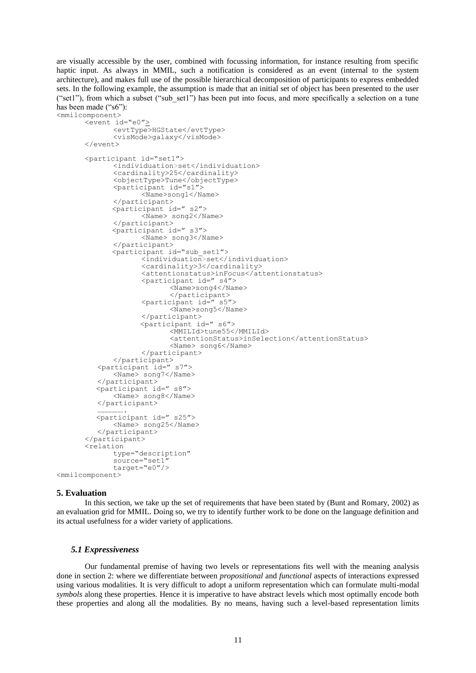are visually accessible by the user, combined with focussing information, for instance resulting from specific haptic input. As always in MMIL, such a notification is considered as an event (internal to the system architecture), and makes full use of the possible hierarchical decomposition of participants to express embedded sets. In the following example, the assumption is made that an initial set of object has been presented to the user ("set1"), from which a subset ("sub\_set1") has been put into focus, and more specifically a selection on a tune has been made ("s6"):

```
<mmilcomponent>
      <event id="e0">
             <evtType>HGState</evtType>
             <visMode>galaxy</visMode>
      </event>
      <participant id="set1">
             <individuation>set</individuation>
             <cardinality>25</cardinality>
             <objectType>Tune</objectType>
             <participant id="s1">
                    <Name>song1</Name>
             </participant>
             <participant id=" s2">
                    <Name> song2</Name>
             </participant>
             <participant id=" s3">
                    <Name> song3</Name>
             </participant>
             <participant id="sub_set1">
                    <individuation>set</individuation>
                    <cardinality>3</cardinality>
                    <attentionstatus>inFocus</attentionstatus>
                    <participant id=" s4">
                           <Name>song4</Name>
                           </participant>
                    <participant id=" s5">
                           <Name>song5</Name>
                    </participant>
                    <participant id=" s6">
                           <MMILId>tune55</MMILId>
                           <attentionStatus>inSelection</attentionStatus>
                           <Name> song6</Name>
                    </participant>
             </participant>
          <participant id=" s7"> 
             <Name> song7</Name>
         </participant>
         <participant id=" s8">
             <Name> song8</Name>
         </participant>
          ……………….
         <participant id=" s25">
             <Name> song25</Name>
         </participant>
      </participant>
      <relation
             type="description"
             source="set1" 
             target="e0"/>
<mmilcomponent>
```
#### **5. Evaluation**

In this section, we take up the set of requirements that have been stated by (Bunt and Romary, 2002) as an evaluation grid for MMIL. Doing so, we try to identify further work to be done on the language definition and its actual usefulness for a wider variety of applications.

#### *5.1 Expressiveness*

Our fundamental premise of having two levels or representations fits well with the meaning analysis done in section 2: where we differentiate between *propositional* and *functional* aspects of interactions expressed using various modalities. It is very difficult to adopt a uniform representation which can formulate multi-modal *symbols* along these properties. Hence it is imperative to have abstract levels which most optimally encode both these properties and along all the modalities. By no means, having such a level-based representation limits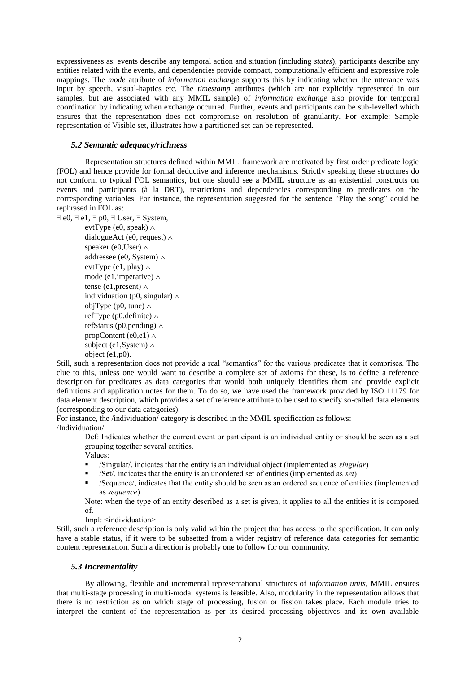expressiveness as: events describe any temporal action and situation (including *states*), participants describe any entities related with the events, and dependencies provide compact, computationally efficient and expressive role mappings. The *mode* attribute of *information exchange* supports this by indicating whether the utterance was input by speech, visual-haptics etc. The *timestamp* attributes (which are not explicitly represented in our samples, but are associated with any MMIL sample) of *information exchange* also provide for temporal coordination by indicating when exchange occurred. Further, events and participants can be sub-levelled which ensures that the representation does not compromise on resolution of granularity. For example: Sample representation of Visible set, illustrates how a partitioned set can be represented.

#### *5.2 Semantic adequacy/richness*

Representation structures defined within MMIL framework are motivated by first order predicate logic (FOL) and hence provide for formal deductive and inference mechanisms. Strictly speaking these structures do not conform to typical FOL semantics, but one should see a MMIL structure as an existential constructs on events and participants (à la DRT), restrictions and dependencies corresponding to predicates on the corresponding variables. For instance, the representation suggested for the sentence "Play the song" could be rephrased in FOL as:

 $\exists$  e0,  $\exists$  e1,  $\exists$  p0,  $\exists$  User,  $\exists$  System,

evtType (e0, speak)  $\land$ dialogueAct (e0, request)  $\wedge$ speaker (e0,User)  $\wedge$ addressee (e0, System)  $\wedge$ evtType (e1, play)  $\land$ mode (e1,imperative)  $\wedge$ tense (e1,present)  $\wedge$ individuation (p0, singular)  $\wedge$ objType (p0, tune)  $\land$ refType (p0,definite)  $\wedge$ refStatus (p0, pending)  $\wedge$ propContent (e0,e1)  $\land$ subject (e1, System)  $\land$ object (e1,p0).

Still, such a representation does not provide a real "semantics" for the various predicates that it comprises. The clue to this, unless one would want to describe a complete set of axioms for these, is to define a reference description for predicates as data categories that would both uniquely identifies them and provide explicit definitions and application notes for them. To do so, we have used the framework provided by ISO 11179 for data element description, which provides a set of reference attribute to be used to specify so-called data elements (corresponding to our data categories).

For instance, the /individuation/ category is described in the MMIL specification as follows: /Individuation/

Def: Indicates whether the current event or participant is an individual entity or should be seen as a set grouping together several entities.

Values:

- /Singular/, indicates that the entity is an individual object (implemented as *singular*)
- /Set/, indicates that the entity is an unordered set of entities (implemented as *set*)
- /Sequence/, indicates that the entity should be seen as an ordered sequence of entities (implemented as *sequence*)

Note: when the type of an entity described as a set is given, it applies to all the entities it is composed of.

Impl: <individuation>

Still, such a reference description is only valid within the project that has access to the specification. It can only have a stable status, if it were to be subsetted from a wider registry of reference data categories for semantic content representation. Such a direction is probably one to follow for our community.

#### *5.3 Incrementality*

By allowing, flexible and incremental representational structures of *information units*, MMIL ensures that multi-stage processing in multi-modal systems is feasible. Also, modularity in the representation allows that there is no restriction as on which stage of processing, fusion or fission takes place. Each module tries to interpret the content of the representation as per its desired processing objectives and its own available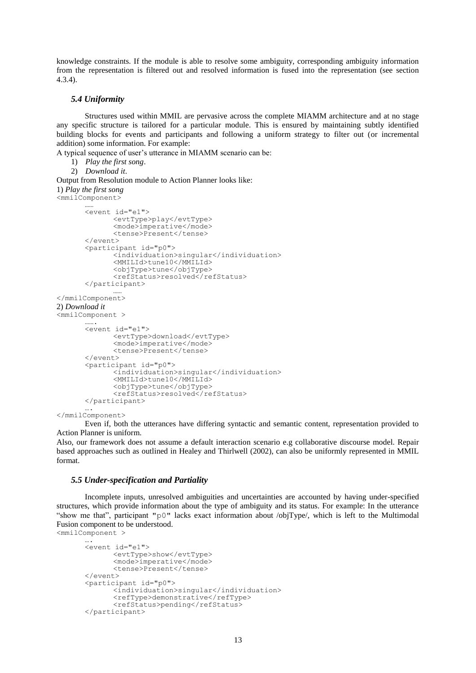knowledge constraints. If the module is able to resolve some ambiguity, corresponding ambiguity information from the representation is filtered out and resolved information is fused into the representation (see section 4.3.4).

### *5.4 Uniformity*

Structures used within MMIL are pervasive across the complete MIAMM architecture and at no stage any specific structure is tailored for a particular module. This is ensured by maintaining subtly identified building blocks for events and participants and following a uniform strategy to filter out (or incremental addition) some information. For example:

A typical sequence of user"s utterance in MIAMM scenario can be:

1) *Play the first song*.

```
2) Download it.
```
Output from Resolution module to Action Planner looks like: 1) *Play the first song* <mmilComponent> ……

```
<event id="e1">
             <evtType>play</evtType>
             <mode>imperative</mode>
             <tense>Present</tense>
      </event>
      <participant id="p0">
             <individuation>singular</individuation>
             <MMILId>tune10</MMILId>
             <objType>tune</objType>
             <refStatus>resolved</refStatus>
      </participant>
             ……
</mmilComponent>
2) Download it
<mmilComponent >
       ……
       <event id="e1">
             <evtType>download</evtType>
             <mode>imperative</mode>
             <tense>Present</tense>
      </event>
      <participant id="p0">
             <individuation>singular</individuation>
             <MMILId>tune10</MMILId>
             <objType>tune</objType>
             <refStatus>resolved</refStatus>
      </participant>
       ….
```
#### </mmilComponent>

Even if, both the utterances have differing syntactic and semantic content, representation provided to Action Planner is uniform.

Also, our framework does not assume a default interaction scenario e.g collaborative discourse model. Repair based approaches such as outlined in Healey and Thirlwell (2002), can also be uniformly represented in MMIL format.

#### *5.5 Under-specification and Partiality*

Incomplete inputs, unresolved ambiguities and uncertainties are accounted by having under-specified structures, which provide information about the type of ambiguity and its status. For example: In the utterance "show me that", participant "p0" lacks exact information about /objType/, which is left to the Multimodal Fusion component to be understood. <mmilComponent >

```
….
<event id="e1">
      <evtType>show</evtType>
      <mode>imperative</mode>
      <tense>Present</tense>
</event>
<participant id="p0">
      <individuation>singular</individuation>
      <refType>demonstrative</refType>
      <refStatus>pending</refStatus>
</participant>
```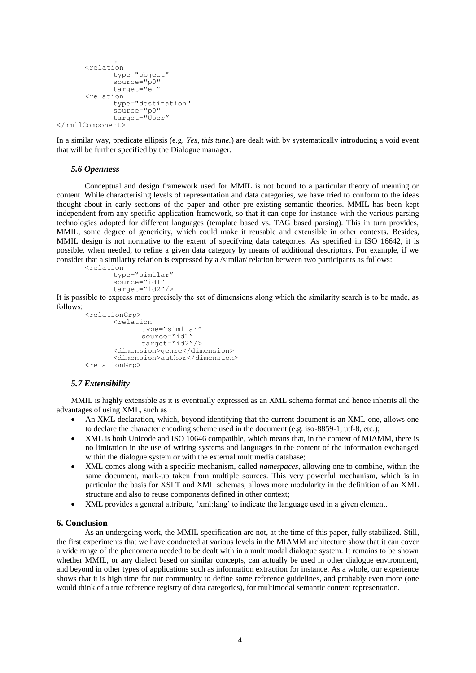```
…
       <relation
             type="object"
             source="p0"
             target="e1"
      <relation
             type="destination"
             source="p0"
             target="User"
</mmilComponent>
```
In a similar way, predicate ellipsis (e.g. *Yes, this tune.*) are dealt with by systematically introducing a void event that will be further specified by the Dialogue manager.

#### *5.6 Openness*

Conceptual and design framework used for MMIL is not bound to a particular theory of meaning or content. While characterising levels of representation and data categories, we have tried to conform to the ideas thought about in early sections of the paper and other pre-existing semantic theories. MMIL has been kept independent from any specific application framework, so that it can cope for instance with the various parsing technologies adopted for different languages (template based vs. TAG based parsing). This in turn provides, MMIL, some degree of genericity, which could make it reusable and extensible in other contexts. Besides, MMIL design is not normative to the extent of specifying data categories. As specified in ISO 16642, it is possible, when needed, to refine a given data category by means of additional descriptors. For example, if we consider that a similarity relation is expressed by a /similar/ relation between two participants as follows:

```
<relation
      type="similar"
      source="id1'
      target="id2"/>
```
It is possible to express more precisely the set of dimensions along which the similarity search is to be made, as follows:

```
<relationGrp>
      <relation
             type="similar"
             source="id1"
             target="id2"/>
      <dimension>genre</dimension>
      <dimension>author</dimension>
<relationGrp>
```
# *5.7 Extensibility*

MMIL is highly extensible as it is eventually expressed as an XML schema format and hence inherits all the advantages of using XML, such as :

- An XML declaration, which, beyond identifying that the current document is an XML one, allows one to declare the character encoding scheme used in the document (e.g. iso-8859-1, utf-8, etc.);
- XML is both Unicode and ISO 10646 compatible, which means that, in the context of MIAMM, there is no limitation in the use of writing systems and languages in the content of the information exchanged within the dialogue system or with the external multimedia database;
- XML comes along with a specific mechanism, called *namespaces*, allowing one to combine, within the same document, mark-up taken from multiple sources. This very powerful mechanism, which is in particular the basis for XSLT and XML schemas, allows more modularity in the definition of an XML structure and also to reuse components defined in other context;
- XML provides a general attribute, "xml:lang" to indicate the language used in a given element.

### **6. Conclusion**

As an undergoing work, the MMIL specification are not, at the time of this paper, fully stabilized. Still, the first experiments that we have conducted at various levels in the MIAMM architecture show that it can cover a wide range of the phenomena needed to be dealt with in a multimodal dialogue system. It remains to be shown whether MMIL, or any dialect based on similar concepts, can actually be used in other dialogue environment, and beyond in other types of applications such as information extraction for instance. As a whole, our experience shows that it is high time for our community to define some reference guidelines, and probably even more (one would think of a true reference registry of data categories), for multimodal semantic content representation.